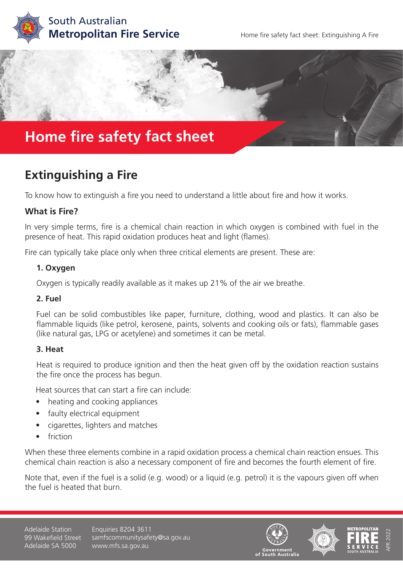



# **Extinguishing a Fire**

To know how to extinguish a fire you need to understand a little about fire and how it works.

### **What is Fire?**

In very simple terms, fire is a chemical chain reaction in which oxygen is combined with fuel in the presence of heat. This rapid oxidation produces heat and light (flames).

Fire can typically take place only when three critical elements are present. These are:

#### **1. Oxygen**

Oxygen is typically readily available as it makes up 21% of the air we breathe.

#### **2. Fuel**

Fuel can be solid combustibles like paper, furniture, clothing, wood and plastics. It can also be flammable liquids (like petrol, kerosene, paints, solvents and cooking oils or fats), flammable gases (like natural gas, LPG or acetylene) and sometimes it can be metal.

#### **3. Heat**

Heat is required to produce ignition and then the heat given off by the oxidation reaction sustains the fire once the process has begun.

Heat sources that can start a fire can include:

- heating and cooking appliances
- faulty electrical equipment
- cigarettes, lighters and matches
- friction

When these three elements combine in a rapid oxidation process a chemical chain reaction ensues. This chemical chain reaction is also a necessary component of fire and becomes the fourth element of fire.

Note that, even if the fuel is a solid (e.g. wood) or a liquid (e.g. petrol) it is the vapours given off when the fuel is heated that burn.

Adelaide Station 99 Wakefield Street Adelaide SA 5000

Enquiries 8204 3611 samfscommunitysafety@sa.gov.au www.mfs.sa.gov.au







APR 2022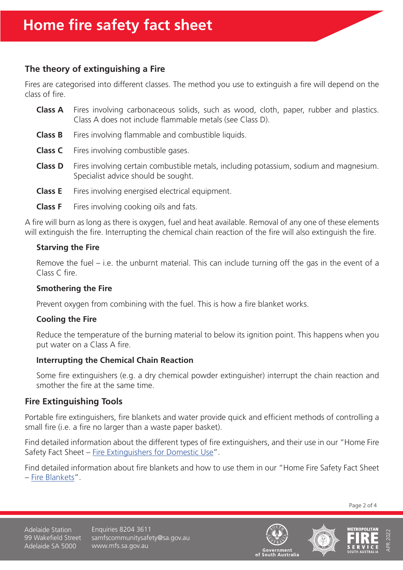# **The theory of extinguishing a Fire**

Fires are categorised into different classes. The method you use to extinguish a fire will depend on the class of fire.

- **Class A** Fires involving carbonaceous solids, such as wood, cloth, paper, rubber and plastics. Class A does not include flammable metals (see Class D).
- **Class B** Fires involving flammable and combustible liquids.
- **Class C** Fires involving combustible gases.
- **Class D** Fires involving certain combustible metals, including potassium, sodium and magnesium. Specialist advice should be sought.
- **Class E** Fires involving energised electrical equipment.
- **Class F** Fires involving cooking oils and fats.

A fire will burn as long as there is oxygen, fuel and heat available. Removal of any one of these elements will extinguish the fire. Interrupting the chemical chain reaction of the fire will also extinguish the fire.

### **Starving the Fire**

Remove the fuel – i.e. the unburnt material. This can include turning off the gas in the event of a Class C fire.

### **Smothering the Fire**

Prevent oxygen from combining with the fuel. This is how a fire blanket works.

### **Cooling the Fire**

Reduce the temperature of the burning material to below its ignition point. This happens when you put water on a Class A fire.

### **Interrupting the Chemical Chain Reaction**

Some fire extinguishers (e.g. a dry chemical powder extinguisher) interrupt the chain reaction and smother the fire at the same time.

# **Fire Extinguishing Tools**

Portable fire extinguishers, fire blankets and water provide quick and efficient methods of controlling a small fire (i.e. a fire no larger than a waste paper basket).

Find detailed information about the different types of fire extinguishers, and their use in our "Home Fire Safety Fact Sheet – [Fire Extinguishers for Domestic Use](https://www.mfs.sa.gov.au/community/safety-and-education/fact-sheets-and-brochures/fact-sheet-pages/fire-extinguishers-for-domestic-use)".

Find detailed information about fire blankets and how to use them in our "Home Fire Safety Fact Sheet – [Fire Blankets"](https://www.mfs.sa.gov.au/community/safety-and-education/fact-sheets-and-brochures/fact-sheet-pages/fire-blankets).

Page 2 of 4

Adelaide Station 99 Wakefield Street Adelaide SA 5000

Enquiries 8204 3611 samfscommunitysafety@sa.gov.au www.mfs.sa.gov.au





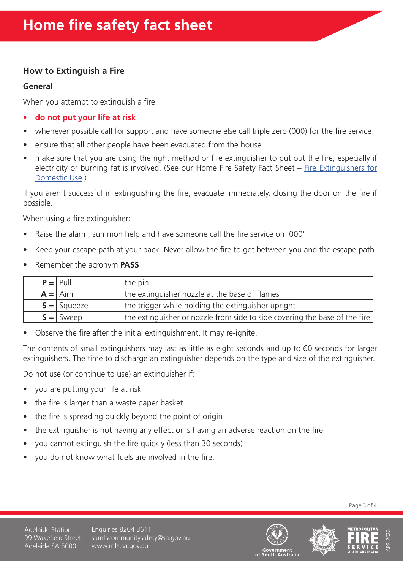# **How to Extinguish a Fire**

#### **General**

When you attempt to extinguish a fire:

- **• do not put your life at risk**
- whenever possible call for support and have someone else call triple zero (000) for the fire service
- ensure that all other people have been evacuated from the house
- make sure that you are using the right method or fire extinguisher to put out the fire, especially if electricity or burning fat is involved. (See our Home Fire Safety Fact Sheet – [Fire Extinguishers for](https://www.mfs.sa.gov.au/community/safety-and-education/fact-sheets-and-brochures/fact-sheet-pages/fire-extinguishers-for-domestic-use) [Domestic Use](https://www.mfs.sa.gov.au/community/safety-and-education/fact-sheets-and-brochures/fact-sheet-pages/fire-extinguishers-for-domestic-use).)

If you aren't successful in extinguishing the fire, evacuate immediately, closing the door on the fire if possible.

When using a fire extinguisher:

- Raise the alarm, summon help and have someone call the fire service on '000'
- Keep your escape path at your back. Never allow the fire to get between you and the escape path.
- Remember the acronym **PASS**

| $P =  $ Pull  | the pin                                                                    |
|---------------|----------------------------------------------------------------------------|
| $A =   A$ im  | the extinguisher nozzle at the base of flames                              |
| $S =$ Squeeze | the trigger while holding the extinguisher upright                         |
| $S =$ Sweep   | the extinguisher or nozzle from side to side covering the base of the fire |

• Observe the fire after the initial extinguishment. It may re-ignite.

The contents of small extinguishers may last as little as eight seconds and up to 60 seconds for larger extinguishers. The time to discharge an extinguisher depends on the type and size of the extinguisher.

Do not use (or continue to use) an extinguisher if:

- you are putting your life at risk
- the fire is larger than a waste paper basket
- the fire is spreading quickly beyond the point of origin
- the extinguisher is not having any effect or is having an adverse reaction on the fire
- you cannot extinguish the fire quickly (less than 30 seconds)
- you do not know what fuels are involved in the fire.

Page 3 of 4

Adelaide Station 99 Wakefield Street Adelaide SA 5000

Enquiries 8204 3611 samfscommunitysafety@sa.gov.au www.mfs.sa.gov.au